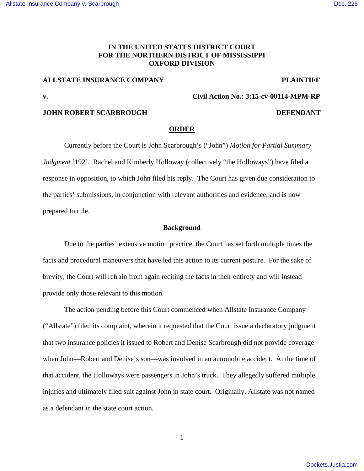## [Allstate Insurance Company v. Scarbrough](https://dockets.justia.com/docket/mississippi/msndce/3:2015cv00114/37197/) [Doc. 225](https://docs.justia.com/cases/federal/district-courts/mississippi/msndce/3:2015cv00114/37197/225/)

# **IN THE UNITED STATES DISTRICT COURT FOR THE NORTHERN DISTRICT OF MISSISSIPPI OXFORD DIVISION**

# **ALLSTATE INSURANCE COMPANY PLAINTIFF**

**v. Civil Action No.: 3:15-cv-00114-MPM-RP** 

## **JOHN ROBERT SCARBROUGH DEFENDANT**

#### **ORDER**

 Currently before the Court is John Scarbrough's ("John") *Motion for Partial Summary Judgment* [192]. Rachel and Kimberly Holloway (collectively "the Holloways") have filed a response in opposition, to which John filed his reply. The Court has given due consideration to the parties' submissions, in conjunction with relevant authorities and evidence, and is now prepared to rule.

#### **Background**

 Due to the parties' extensive motion practice, the Court has set forth multiple times the facts and procedural maneuvers that have led this action to its current posture. For the sake of brevity, the Court will refrain from again reciting the facts in their entirety and will instead provide only those relevant to this motion.

 The action pending before this Court commenced when Allstate Insurance Company ("Allstate") filed its complaint, wherein it requested that the Court issue a declaratory judgment that two insurance policies it issued to Robert and Denise Scarbrough did not provide coverage when John—Robert and Denise's son—was involved in an automobile accident. At the time of that accident, the Holloways were passengers in John's truck. They allegedly suffered multiple injuries and ultimately filed suit against John in state court. Originally, Allstate was not named as a defendant in the state court action.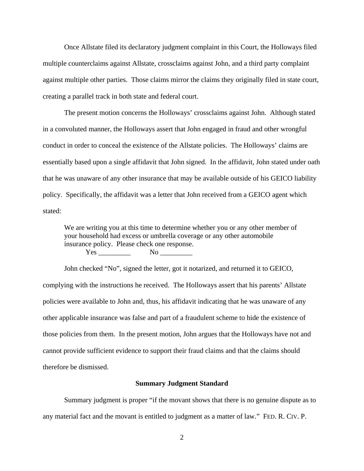Once Allstate filed its declaratory judgment complaint in this Court, the Holloways filed multiple counterclaims against Allstate, crossclaims against John, and a third party complaint against multiple other parties. Those claims mirror the claims they originally filed in state court, creating a parallel track in both state and federal court.

The present motion concerns the Holloways' crossclaims against John. Although stated in a convoluted manner, the Holloways assert that John engaged in fraud and other wrongful conduct in order to conceal the existence of the Allstate policies. The Holloways' claims are essentially based upon a single affidavit that John signed. In the affidavit, John stated under oath that he was unaware of any other insurance that may be available outside of his GEICO liability policy. Specifically, the affidavit was a letter that John received from a GEICO agent which stated:

We are writing you at this time to determine whether you or any other member of your household had excess or umbrella coverage or any other automobile insurance policy. Please check one response. Yes No No  $\overline{N}$ 

John checked "No", signed the letter, got it notarized, and returned it to GEICO, complying with the instructions he received. The Holloways assert that his parents' Allstate policies were available to John and, thus, his affidavit indicating that he was unaware of any other applicable insurance was false and part of a fraudulent scheme to hide the existence of those policies from them. In the present motion, John argues that the Holloways have not and cannot provide sufficient evidence to support their fraud claims and that the claims should therefore be dismissed.

#### **Summary Judgment Standard**

 Summary judgment is proper "if the movant shows that there is no genuine dispute as to any material fact and the movant is entitled to judgment as a matter of law." FED. R. CIV. P.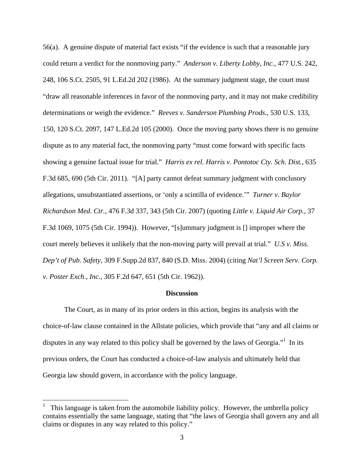56(a). A genuine dispute of material fact exists "if the evidence is such that a reasonable jury could return a verdict for the nonmoving party." *Anderson v. Liberty Lobby, Inc.*, 477 U.S. 242, 248, 106 S.Ct. 2505, 91 L.Ed.2d 202 (1986). At the summary judgment stage, the court must "draw all reasonable inferences in favor of the nonmoving party, and it may not make credibility determinations or weigh the evidence." *Reeves v. Sanderson Plumbing Prods.*, 530 U.S. 133, 150, 120 S.Ct. 2097, 147 L.Ed.2d 105 (2000). Once the moving party shows there is no genuine dispute as to any material fact, the nonmoving party "must come forward with specific facts showing a genuine factual issue for trial." *Harris ex rel. Harris v. Pontotoc Cty. Sch. Dist.*, 635 F.3d 685, 690 (5th Cir. 2011). "[A] party cannot defeat summary judgment with conclusory allegations, unsubstantiated assertions, or 'only a scintilla of evidence.'" *Turner v. Baylor Richardson Med. Ctr.*, 476 F.3d 337, 343 (5th Cir. 2007) (quoting *Little v. Liquid Air Corp.*, 37 F.3d 1069, 1075 (5th Cir. 1994)). However, "[s]ummary judgment is [] improper where the court merely believes it unlikely that the non-moving party will prevail at trial." *U.S v. Miss. Dep't of Pub. Safety*, 309 F.Supp.2d 837, 840 (S.D. Miss. 2004) (citing *Nat'l Screen Serv. Corp. v. Poster Exch., Inc.*, 305 F.2d 647, 651 (5th Cir. 1962)).

## **Discussion**

 The Court, as in many of its prior orders in this action, begins its analysis with the choice-of-law clause contained in the Allstate policies, which provide that "any and all claims or disputes in any way related to this policy shall be governed by the laws of Georgia."<sup>1</sup> In its previous orders, the Court has conducted a choice-of-law analysis and ultimately held that Georgia law should govern, in accordance with the policy language.

 $\overline{a}$ 

<sup>1</sup> This language is taken from the automobile liability policy. However, the umbrella policy contains essentially the same language, stating that "the laws of Georgia shall govern any and all claims or disputes in any way related to this policy."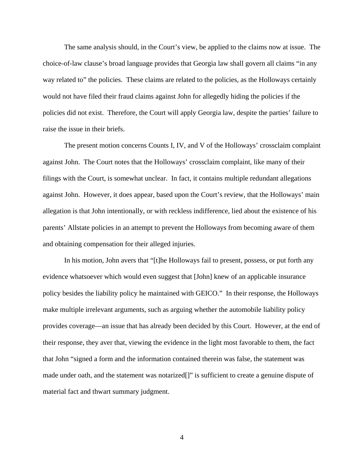The same analysis should, in the Court's view, be applied to the claims now at issue. The choice-of-law clause's broad language provides that Georgia law shall govern all claims "in any way related to" the policies. These claims are related to the policies, as the Holloways certainly would not have filed their fraud claims against John for allegedly hiding the policies if the policies did not exist. Therefore, the Court will apply Georgia law, despite the parties' failure to raise the issue in their briefs.

The present motion concerns Counts I, IV, and V of the Holloways' crossclaim complaint against John. The Court notes that the Holloways' crossclaim complaint, like many of their filings with the Court, is somewhat unclear. In fact, it contains multiple redundant allegations against John. However, it does appear, based upon the Court's review, that the Holloways' main allegation is that John intentionally, or with reckless indifference, lied about the existence of his parents' Allstate policies in an attempt to prevent the Holloways from becoming aware of them and obtaining compensation for their alleged injuries.

In his motion, John avers that "[t]he Holloways fail to present, possess, or put forth any evidence whatsoever which would even suggest that [John] knew of an applicable insurance policy besides the liability policy he maintained with GEICO." In their response, the Holloways make multiple irrelevant arguments, such as arguing whether the automobile liability policy provides coverage—an issue that has already been decided by this Court. However, at the end of their response, they aver that, viewing the evidence in the light most favorable to them, the fact that John "signed a form and the information contained therein was false, the statement was made under oath, and the statement was notarized[]" is sufficient to create a genuine dispute of material fact and thwart summary judgment.

4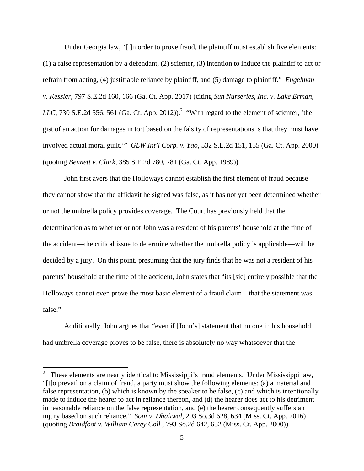Under Georgia law, "[i]n order to prove fraud, the plaintiff must establish five elements: (1) a false representation by a defendant, (2) scienter, (3) intention to induce the plaintiff to act or refrain from acting, (4) justifiable reliance by plaintiff, and (5) damage to plaintiff." *Engelman v. Kessler*, 797 S.E.2d 160, 166 (Ga. Ct. App. 2017) (citing *Sun Nurseries, Inc. v. Lake Erman, LLC*, 730 S.E.2d 556, 561 (Ga. Ct. App. 2012)).<sup>2</sup> "With regard to the element of scienter, 'the gist of an action for damages in tort based on the falsity of representations is that they must have involved actual moral guilt.'" *GLW Int'l Corp. v. Yao*, 532 S.E.2d 151, 155 (Ga. Ct. App. 2000) (quoting *Bennett v. Clark*, 385 S.E.2d 780, 781 (Ga. Ct. App. 1989)).

John first avers that the Holloways cannot establish the first element of fraud because they cannot show that the affidavit he signed was false, as it has not yet been determined whether or not the umbrella policy provides coverage. The Court has previously held that the determination as to whether or not John was a resident of his parents' household at the time of the accident—the critical issue to determine whether the umbrella policy is applicable—will be decided by a jury. On this point, presuming that the jury finds that he was not a resident of his parents' household at the time of the accident, John states that "its [sic] entirely possible that the Holloways cannot even prove the most basic element of a fraud claim—that the statement was false."

Additionally, John argues that "even if [John's] statement that no one in his household had umbrella coverage proves to be false, there is absolutely no way whatsoever that the

 $\frac{1}{2}$  These elements are nearly identical to Mississippi's fraud elements. Under Mississippi law, "[t]o prevail on a claim of fraud, a party must show the following elements: (a) a material and false representation, (b) which is known by the speaker to be false, (c) and which is intentionally made to induce the hearer to act in reliance thereon, and (d) the hearer does act to his detriment in reasonable reliance on the false representation, and (e) the hearer consequently suffers an injury based on such reliance." *Soni v. Dhaliwal*, 203 So.3d 628, 634 (Miss. Ct. App. 2016) (quoting *Braidfoot v. William Carey Coll.*, 793 So.2d 642, 652 (Miss. Ct. App. 2000)).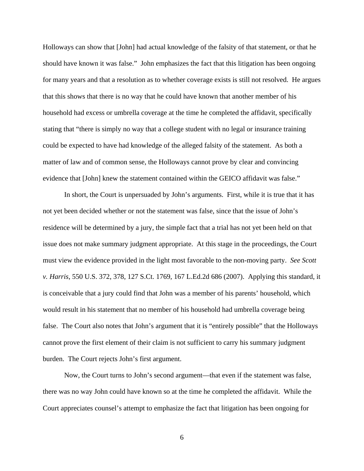Holloways can show that [John] had actual knowledge of the falsity of that statement, or that he should have known it was false." John emphasizes the fact that this litigation has been ongoing for many years and that a resolution as to whether coverage exists is still not resolved. He argues that this shows that there is no way that he could have known that another member of his household had excess or umbrella coverage at the time he completed the affidavit, specifically stating that "there is simply no way that a college student with no legal or insurance training could be expected to have had knowledge of the alleged falsity of the statement. As both a matter of law and of common sense, the Holloways cannot prove by clear and convincing evidence that [John] knew the statement contained within the GEICO affidavit was false."

In short, the Court is unpersuaded by John's arguments. First, while it is true that it has not yet been decided whether or not the statement was false, since that the issue of John's residence will be determined by a jury, the simple fact that a trial has not yet been held on that issue does not make summary judgment appropriate. At this stage in the proceedings, the Court must view the evidence provided in the light most favorable to the non-moving party. *See Scott v. Harris*, 550 U.S. 372, 378, 127 S.Ct. 1769, 167 L.Ed.2d 686 (2007). Applying this standard, it is conceivable that a jury could find that John was a member of his parents' household, which would result in his statement that no member of his household had umbrella coverage being false. The Court also notes that John's argument that it is "entirely possible" that the Holloways cannot prove the first element of their claim is not sufficient to carry his summary judgment burden. The Court rejects John's first argument.

Now, the Court turns to John's second argument—that even if the statement was false, there was no way John could have known so at the time he completed the affidavit. While the Court appreciates counsel's attempt to emphasize the fact that litigation has been ongoing for

6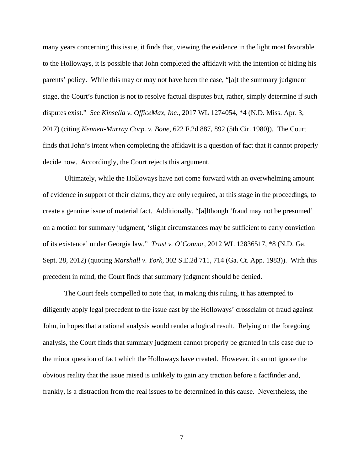many years concerning this issue, it finds that, viewing the evidence in the light most favorable to the Holloways, it is possible that John completed the affidavit with the intention of hiding his parents' policy. While this may or may not have been the case, "[a]t the summary judgment stage, the Court's function is not to resolve factual disputes but, rather, simply determine if such disputes exist." *See Kinsella v. OfficeMax, Inc.*, 2017 WL 1274054, \*4 (N.D. Miss. Apr. 3, 2017) (citing *Kennett-Murray Corp. v. Bone*, 622 F.2d 887, 892 (5th Cir. 1980)). The Court finds that John's intent when completing the affidavit is a question of fact that it cannot properly decide now. Accordingly, the Court rejects this argument.

Ultimately, while the Holloways have not come forward with an overwhelming amount of evidence in support of their claims, they are only required, at this stage in the proceedings, to create a genuine issue of material fact. Additionally, "[a]lthough 'fraud may not be presumed' on a motion for summary judgment, 'slight circumstances may be sufficient to carry conviction of its existence' under Georgia law." *Trust v. O'Connor*, 2012 WL 12836517, \*8 (N.D. Ga. Sept. 28, 2012) (quoting *Marshall v. York*, 302 S.E.2d 711, 714 (Ga. Ct. App. 1983)). With this precedent in mind, the Court finds that summary judgment should be denied.

The Court feels compelled to note that, in making this ruling, it has attempted to diligently apply legal precedent to the issue cast by the Holloways' crossclaim of fraud against John, in hopes that a rational analysis would render a logical result. Relying on the foregoing analysis, the Court finds that summary judgment cannot properly be granted in this case due to the minor question of fact which the Holloways have created. However, it cannot ignore the obvious reality that the issue raised is unlikely to gain any traction before a factfinder and, frankly, is a distraction from the real issues to be determined in this cause. Nevertheless, the

7